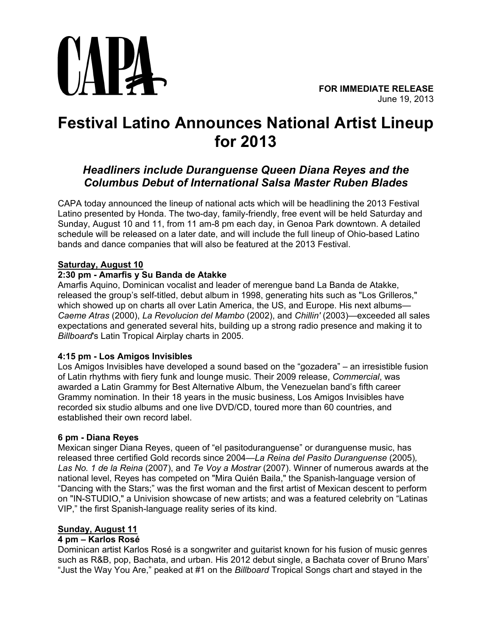

# **Festival Latino Announces National Artist Lineup for 2013**

# *Headliners include Duranguense Queen Diana Reyes and the Columbus Debut of International Salsa Master Ruben Blades*

CAPA today announced the lineup of national acts which will be headlining the 2013 Festival Latino presented by Honda. The two-day, family-friendly, free event will be held Saturday and Sunday, August 10 and 11, from 11 am-8 pm each day, in Genoa Park downtown. A detailed schedule will be released on a later date, and will include the full lineup of Ohio-based Latino bands and dance companies that will also be featured at the 2013 Festival.

# **Saturday, August 10**

### **2:30 pm - Amarfis y Su Banda de Atakke**

Amarfis Aquino, Dominican vocalist and leader of merengue band La Banda de Atakke, released the group's self-titled, debut album in 1998, generating hits such as "Los Grilleros," which showed up on charts all over Latin America, the US, and Europe. His next albums— *Caeme Atras* (2000), *La Revolucion del Mambo* (2002), and *Chillin'* (2003)—exceeded all sales expectations and generated several hits, building up a strong radio presence and making it to *Billboard*'s Latin Tropical Airplay charts in 2005.

#### **4:15 pm - Los Amigos Invisibles**

Los Amigos Invisibles have developed a sound based on the "gozadera" – an irresistible fusion of Latin rhythms with fiery funk and lounge music. Their 2009 release, *Commercial*, was awarded a Latin Grammy for Best Alternative Album, the Venezuelan band's fifth career Grammy nomination. In their 18 years in the music business, Los Amigos Invisibles have recorded six studio albums and one live DVD/CD, toured more than 60 countries, and established their own record label.

#### **6 pm - Diana Reyes**

Mexican singer Diana Reyes, queen of "el pasitoduranguense" or duranguense music, has released three certified Gold records since 2004—*La Reina del Pasito Duranguense* (2005)*, Las No. 1 de la Reina* (2007), and *Te Voy a Mostrar* (2007). Winner of numerous awards at the national level, Reyes has competed on "Mira Quién Baila," the Spanish-language version of "Dancing with the Stars;" was the first woman and the first artist of Mexican descent to perform on "IN-STUDIO," a Univision showcase of new artists; and was a featured celebrity on "Latinas VIP," the first Spanish-language reality series of its kind.

# **Sunday, August 11**

#### **4 pm – Karlos Rosé**

Dominican artist Karlos Rosé is a songwriter and guitarist known for his fusion of music genres such as R&B, pop, Bachata, and urban. His 2012 debut single, a Bachata cover of Bruno Mars' "Just the Way You Are," peaked at #1 on the *Billboard* Tropical Songs chart and stayed in the